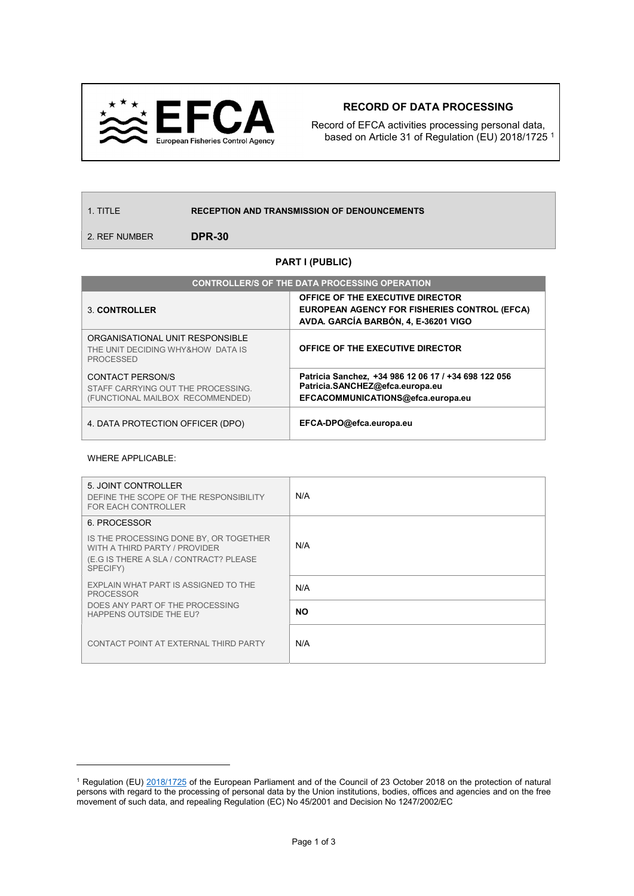

## RECORD OF DATA PROCESSING

Record of EFCA activities processing personal data, based on Article 31 of Regulation (EU) 2018/1725 <sup>1</sup>

1. TITLE RECEPTION AND TRANSMISSION OF DENOUNCEMENTS

2. REF NUMBER **DPR-30** 

## PART I (PUBLIC)

| <b>CONTROLLER/S OF THE DATA PROCESSING OPERATION</b>                                       |                                                                                                                              |  |
|--------------------------------------------------------------------------------------------|------------------------------------------------------------------------------------------------------------------------------|--|
| 3 CONTROLLER                                                                               | OFFICE OF THE EXECUTIVE DIRECTOR<br>EUROPEAN AGENCY FOR FISHERIES CONTROL (EFCA)<br>AVDA. GARCÍA BARBÓN, 4, E-36201 VIGO     |  |
| ORGANISATIONAL UNIT RESPONSIBLE<br>THE UNIT DECIDING WHY&HOW DATA IS<br><b>PROCESSED</b>   | OFFICE OF THE EXECUTIVE DIRECTOR                                                                                             |  |
| CONTACT PERSON/S<br>STAFF CARRYING OUT THE PROCESSING.<br>(FUNCTIONAL MAILBOX RECOMMENDED) | Patricia Sanchez, +34 986 12 06 17 / +34 698 122 056<br>Patricia.SANCHEZ@efca.europa.eu<br>EFCACOMMUNICATIONS@efca.europa.eu |  |
| 4. DATA PROTECTION OFFICER (DPO)                                                           | EFCA-DPO@efca.europa.eu                                                                                                      |  |

## WHERE APPLICABLE:

 $\overline{a}$ 

| 5. JOINT CONTROLLER<br>DEFINE THE SCOPE OF THE RESPONSIBILITY<br>FOR EACH CONTROLLER                                          | N/A |
|-------------------------------------------------------------------------------------------------------------------------------|-----|
| 6. PROCESSOR                                                                                                                  |     |
| IS THE PROCESSING DONE BY, OR TOGETHER<br>WITH A THIRD PARTY / PROVIDER<br>(E.G IS THERE A SLA / CONTRACT? PLEASE<br>SPECIFY) | N/A |
| EXPLAIN WHAT PART IS ASSIGNED TO THE<br><b>PROCESSOR</b>                                                                      | N/A |
| DOES ANY PART OF THE PROCESSING<br>HAPPENS OUTSIDE THE EU?                                                                    | NO. |
| CONTACT POINT AT EXTERNAL THIRD PARTY                                                                                         | N/A |

<sup>&</sup>lt;sup>1</sup> Regulation (EU) 2018/1725 of the European Parliament and of the Council of 23 October 2018 on the protection of natural persons with regard to the processing of personal data by the Union institutions, bodies, offices and agencies and on the free movement of such data, and repealing Regulation (EC) No 45/2001 and Decision No 1247/2002/EC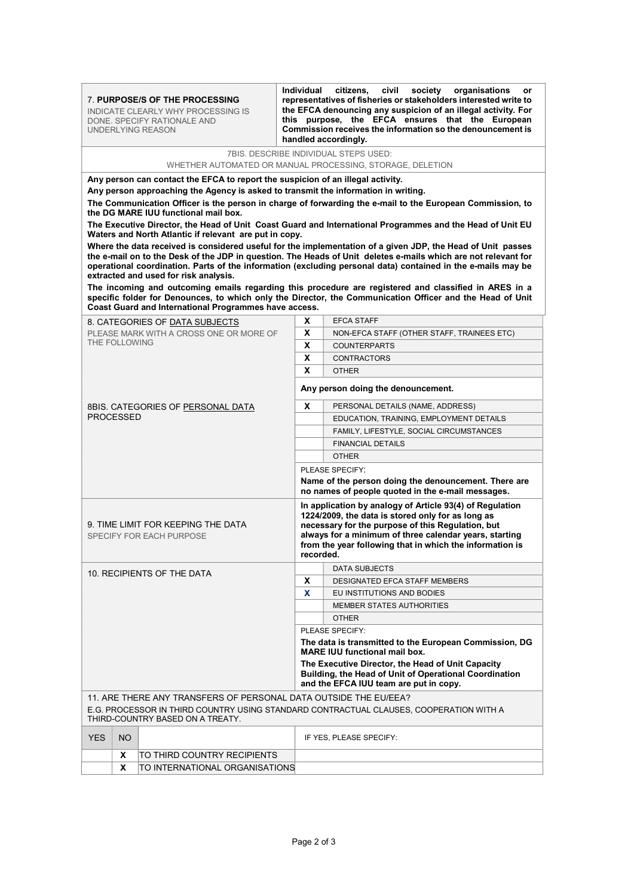|                                       |                                                                                    |                                                                                                                                                                  | handled accordingly.                                                                                                                                                                                               |  |  |
|---------------------------------------|------------------------------------------------------------------------------------|------------------------------------------------------------------------------------------------------------------------------------------------------------------|--------------------------------------------------------------------------------------------------------------------------------------------------------------------------------------------------------------------|--|--|
| 7BIS, DESCRIBE INDIVIDUAL STEPS USED: |                                                                                    |                                                                                                                                                                  |                                                                                                                                                                                                                    |  |  |
|                                       |                                                                                    |                                                                                                                                                                  | WHETHER AUTOMATED OR MANUAL PROCESSING, STORAGE, DELETION                                                                                                                                                          |  |  |
|                                       | Any person can contact the EFCA to report the suspicion of an illegal activity.    |                                                                                                                                                                  |                                                                                                                                                                                                                    |  |  |
|                                       | Any person approaching the Agency is asked to transmit the information in writing. |                                                                                                                                                                  |                                                                                                                                                                                                                    |  |  |
|                                       | the DG MARE IUU functional mail box.                                               |                                                                                                                                                                  | The Communication Officer is the person in charge of forwarding the e-mail to the European Commission, to                                                                                                          |  |  |
|                                       |                                                                                    |                                                                                                                                                                  | The Executive Director, the Head of Unit Coast Guard and International Programmes and the Head of Unit EU                                                                                                          |  |  |
|                                       | Waters and North Atlantic if relevant are put in copy.                             |                                                                                                                                                                  | Where the data received is considered useful for the implementation of a given JDP, the Head of Unit passes                                                                                                        |  |  |
|                                       |                                                                                    |                                                                                                                                                                  | the e-mail on to the Desk of the JDP in question. The Heads of Unit deletes e-mails which are not relevant for                                                                                                     |  |  |
|                                       |                                                                                    |                                                                                                                                                                  | operational coordination. Parts of the information (excluding personal data) contained in the e-mails may be                                                                                                       |  |  |
|                                       | extracted and used for risk analysis.                                              |                                                                                                                                                                  |                                                                                                                                                                                                                    |  |  |
|                                       |                                                                                    |                                                                                                                                                                  | The incoming and outcoming emails regarding this procedure are registered and classified in ARES in a<br>specific folder for Denounces, to which only the Director, the Communication Officer and the Head of Unit |  |  |
|                                       | Coast Guard and International Programmes have access.                              |                                                                                                                                                                  |                                                                                                                                                                                                                    |  |  |
|                                       | 8. CATEGORIES OF DATA SUBJECTS                                                     | x                                                                                                                                                                | <b>EFCA STAFF</b>                                                                                                                                                                                                  |  |  |
|                                       | PLEASE MARK WITH A CROSS ONE OR MORE OF                                            | X                                                                                                                                                                | NON-EFCA STAFF (OTHER STAFF, TRAINEES ETC)                                                                                                                                                                         |  |  |
| THE FOLLOWING                         |                                                                                    | X                                                                                                                                                                | <b>COUNTERPARTS</b>                                                                                                                                                                                                |  |  |
|                                       | X                                                                                  | <b>CONTRACTORS</b>                                                                                                                                               |                                                                                                                                                                                                                    |  |  |
|                                       | X                                                                                  | <b>OTHER</b>                                                                                                                                                     |                                                                                                                                                                                                                    |  |  |
|                                       |                                                                                    | Any person doing the denouncement.                                                                                                                               |                                                                                                                                                                                                                    |  |  |
|                                       | 8BIS. CATEGORIES OF PERSONAL DATA                                                  | X                                                                                                                                                                | PERSONAL DETAILS (NAME, ADDRESS)                                                                                                                                                                                   |  |  |
| PROCESSED                             |                                                                                    |                                                                                                                                                                  | EDUCATION, TRAINING, EMPLOYMENT DETAILS                                                                                                                                                                            |  |  |
|                                       |                                                                                    |                                                                                                                                                                  | FAMILY, LIFESTYLE, SOCIAL CIRCUMSTANCES                                                                                                                                                                            |  |  |
|                                       |                                                                                    |                                                                                                                                                                  | <b>FINANCIAL DETAILS</b>                                                                                                                                                                                           |  |  |
|                                       |                                                                                    |                                                                                                                                                                  | <b>OTHER</b>                                                                                                                                                                                                       |  |  |
|                                       |                                                                                    |                                                                                                                                                                  | PLEASE SPECIFY:                                                                                                                                                                                                    |  |  |
|                                       |                                                                                    | Name of the person doing the denouncement. There are<br>no names of people quoted in the e-mail messages.                                                        |                                                                                                                                                                                                                    |  |  |
|                                       |                                                                                    |                                                                                                                                                                  | In application by analogy of Article 93(4) of Regulation                                                                                                                                                           |  |  |
|                                       | 9. TIME LIMIT FOR KEEPING THE DATA                                                 | 1224/2009, the data is stored only for as long as<br>necessary for the purpose of this Regulation, but<br>always for a minimum of three calendar years, starting |                                                                                                                                                                                                                    |  |  |
|                                       |                                                                                    |                                                                                                                                                                  |                                                                                                                                                                                                                    |  |  |
|                                       | SPECIFY FOR EACH PURPOSE                                                           |                                                                                                                                                                  | from the year following that in which the information is                                                                                                                                                           |  |  |
|                                       |                                                                                    | recorded.                                                                                                                                                        |                                                                                                                                                                                                                    |  |  |
| 10. RECIPIENTS OF THE DATA            |                                                                                    | <b>DATA SUBJECTS</b>                                                                                                                                             |                                                                                                                                                                                                                    |  |  |
|                                       |                                                                                    | x                                                                                                                                                                | DESIGNATED EFCA STAFF MEMBERS                                                                                                                                                                                      |  |  |
|                                       |                                                                                    | X                                                                                                                                                                | EU INSTITUTIONS AND BODIES                                                                                                                                                                                         |  |  |
|                                       |                                                                                    |                                                                                                                                                                  | <b>MEMBER STATES AUTHORITIES</b>                                                                                                                                                                                   |  |  |
|                                       |                                                                                    |                                                                                                                                                                  | <b>OTHER</b>                                                                                                                                                                                                       |  |  |
|                                       |                                                                                    | PLEASE SPECIFY:                                                                                                                                                  |                                                                                                                                                                                                                    |  |  |
|                                       |                                                                                    | The data is transmitted to the European Commission, DG<br><b>MARE IUU functional mail box.</b>                                                                   |                                                                                                                                                                                                                    |  |  |
|                                       |                                                                                    |                                                                                                                                                                  |                                                                                                                                                                                                                    |  |  |
|                                       |                                                                                    |                                                                                                                                                                  | The Executive Director, the Head of Unit Capacity                                                                                                                                                                  |  |  |
|                                       |                                                                                    |                                                                                                                                                                  | Building, the Head of Unit of Operational Coordination<br>and the EFCA IUU team are put in copy.                                                                                                                   |  |  |
|                                       | 11. ARE THERE ANY TRANSFERS OF PERSONAL DATA OUTSIDE THE EU/EEA?                   |                                                                                                                                                                  |                                                                                                                                                                                                                    |  |  |
|                                       | THIRD-COUNTRY BASED ON A TREATY.                                                   |                                                                                                                                                                  | E.G. PROCESSOR IN THIRD COUNTRY USING STANDARD CONTRACTUAL CLAUSES, COOPERATION WITH A                                                                                                                             |  |  |
| <b>YES</b><br>NO.                     |                                                                                    |                                                                                                                                                                  | IF YES, PLEASE SPECIFY:                                                                                                                                                                                            |  |  |
| X                                     | TO THIRD COUNTRY RECIPIENTS                                                        |                                                                                                                                                                  |                                                                                                                                                                                                                    |  |  |
| X                                     | TO INTERNATIONAL ORGANISATIONS                                                     |                                                                                                                                                                  |                                                                                                                                                                                                                    |  |  |

Individual citizens, civil society organisations or representatives of fisheries or stakeholders interested write to the EFCA denouncing any suspicion of an illegal activity. For this purpose, the EFCA ensures that the European Commission receives the information so the denouncement is

7. PURPOSE/S OF THE PROCESSING INDICATE CLEARLY WHY PROCESSING IS DONE. SPECIFY RATIONALE AND

UNDERLYING REASON